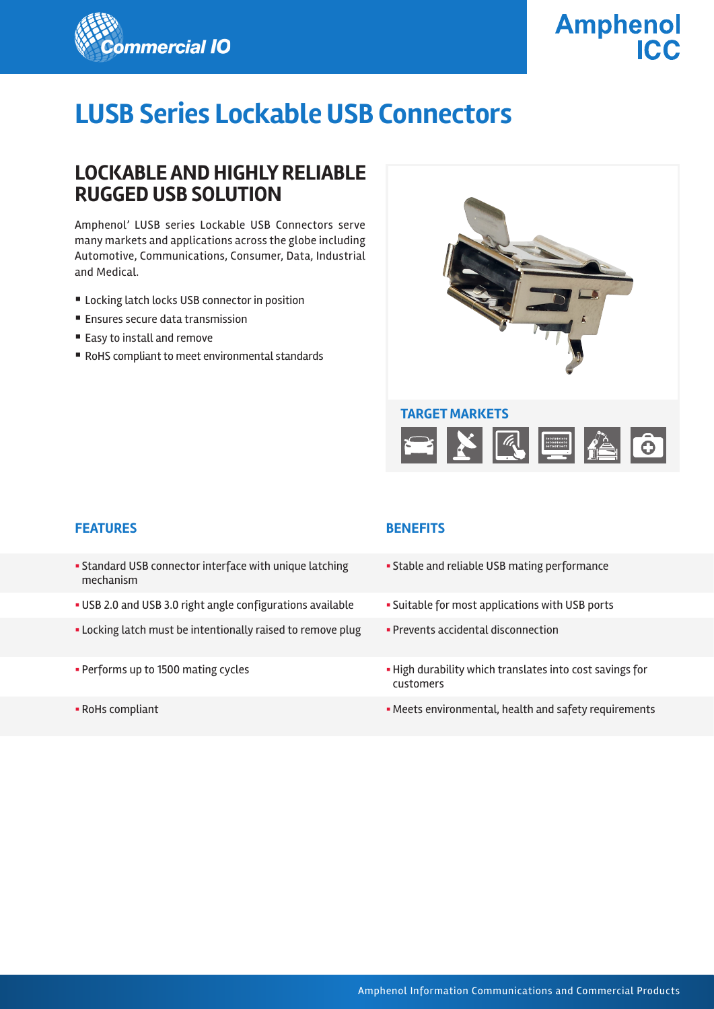

# **Amphenol**

# **LUSB Series Lockable USB Connectors**

## **LOCKABLE AND HIGHLY RELIABLE RUGGED USB SOLUTION**

Amphenol' LUSB series Lockable USB Connectors serve many markets and applications across the globe including Automotive, Communications, Consumer, Data, Industrial and Medical.

- Locking latch locks USB connector in position
- Ensures secure data transmission
- Easy to install and remove
- RoHS compliant to meet environmental standards



#### **FEATURES BENEFITS**

- § Standard USB connector interface with unique latching mechanism
- USB 2.0 and USB 3.0 right angle configurations available Suitable for most applications with USB ports
- Locking latch must be intentionally raised to remove plug Prevents accidental disconnection
- 
- 

- **Stable and reliable USB mating performance**
- 
- 
- Performs up to 1500 mating cycles  **High durability which translates into cost savings for** customers
- RoHs compliant  **RoHs compliant environmental, health and safety requirements**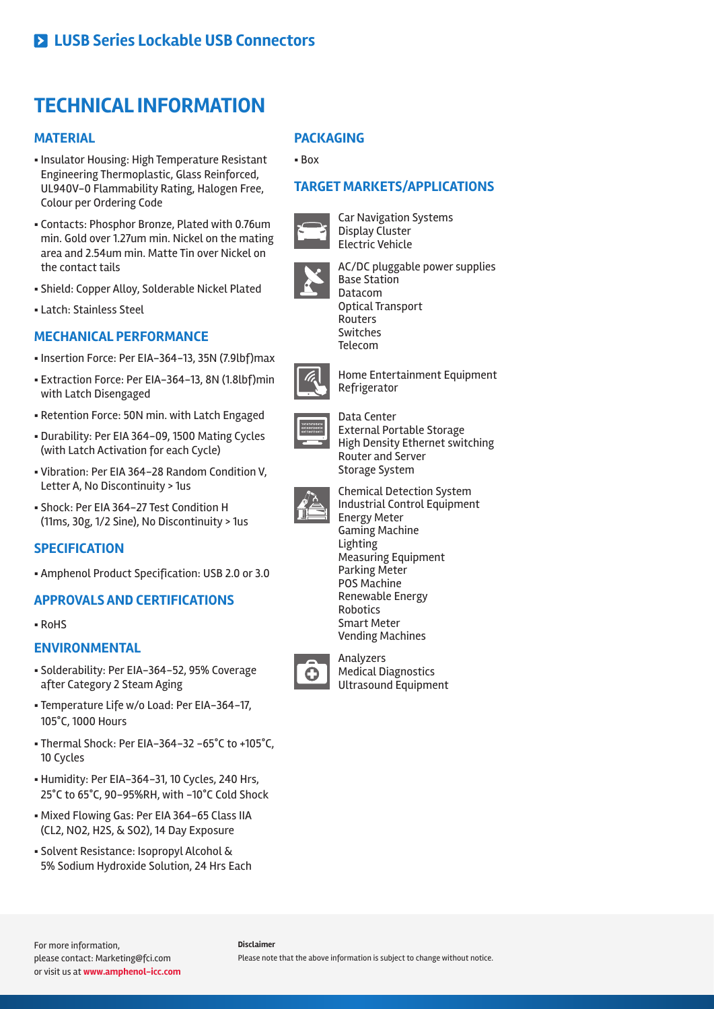# **TECHNICAL INFORMATION**

#### **MATERIAL**

- § Insulator Housing: High Temperature Resistant Engineering Thermoplastic, Glass Reinforced, UL940V-0 Flammability Rating, Halogen Free, Colour per Ordering Code
- § Contacts: Phosphor Bronze, Plated with 0.76um min. Gold over 1.27um min. Nickel on the mating area and 2.54um min. Matte Tin over Nickel on the contact tails
- § Shield: Copper Alloy, Solderable Nickel Plated
- § Latch: Stainless Steel

### **MECHANICAL PERFORMANCE**

- § Insertion Force: Per EIA-364-13, 35N (7.9lbf)max
- § Extraction Force: Per EIA-364-13, 8N (1.8lbf)min with Latch Disengaged
- § Retention Force: 50N min. with Latch Engaged
- § Durability: Per EIA 364-09, 1500 Mating Cycles (with Latch Activation for each Cycle)
- § Vibration: Per EIA 364-28 Random Condition V, Letter A, No Discontinuity > 1us
- § Shock: Per EIA 364-27 Test Condition H (11ms, 30g, 1/2 Sine), No Discontinuity > 1us

#### **SPECIFICATION**

§ Amphenol Product Specification: USB 2.0 or 3.0

#### **APPROVALS AND CERTIFICATIONS**

§ RoHS

#### **ENVIRONMENTAL**

- § Solderability: Per EIA-364-52, 95% Coverage after Category 2 Steam Aging
- § Temperature Life w/o Load: Per EIA-364-17, 105°C, 1000 Hours
- § Thermal Shock: Per EIA-364-32 -65°C to +105°C, 10 Cycles
- § Humidity: Per EIA-364-31, 10 Cycles, 240 Hrs, 25°C to 65°C, 90-95%RH, with -10°C Cold Shock
- § Mixed Flowing Gas: Per EIA 364-65 Class IIA (CL2, NO2, H2S, & SO2), 14 Day Exposure
- § Solvent Resistance: Isopropyl Alcohol & 5% Sodium Hydroxide Solution, 24 Hrs Each

#### **PACKAGING**

§ Box

#### **TARGET MARKETS/APPLICATIONS**



Car Navigation Systems Display Cluster Electric Vehicle



AC/DC pluggable power supplies Base Station Datacom Optical Transport Routers Switches Telecom



Home Entertainment Equipment Refrigerator



Data Center External Portable Storage High Density Ethernet switching Router and Server Storage System



Chemical Detection System Industrial Control Equipment Energy Meter Gaming Machine **Lighting** Measuring Equipment Parking Meter POS Machine Renewable Energy Robotics Smart Meter Vending Machines



Analyzers Medical Diagnostics Ultrasound Equipment